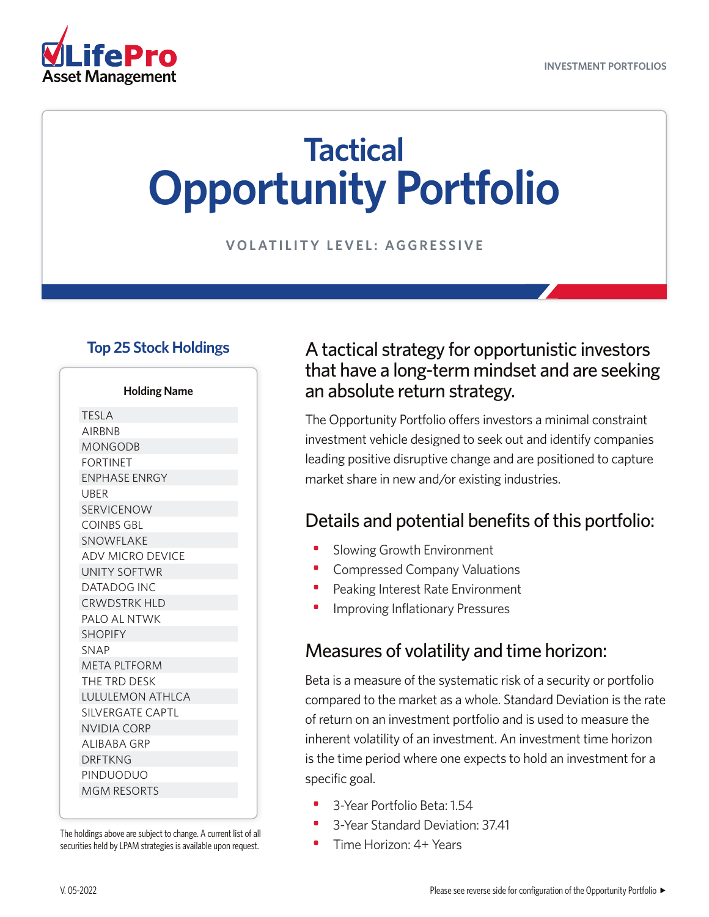

# **Tactical Opportunity Portfolio**

**VOLATILITY LEVEL: AGGRESSIVE**

#### **Top 25 Stock Holdings**

**Holding Name**

| <b>TESLA</b>            |
|-------------------------|
| <b>AIRBNB</b>           |
| <b>MONGODB</b>          |
| <b>FORTINET</b>         |
| <b>ENPHASE ENRGY</b>    |
| <b>UBER</b>             |
| <b>SERVICENOW</b>       |
| <b>COINBS GBL</b>       |
| SNOWFLAKE               |
| ADV MICRO DEVICE        |
| UNITY SOFTWR            |
| <b>DATADOG INC</b>      |
| <b>CRWDSTRK HLD</b>     |
| PALO AL NTWK            |
| <b>SHOPIFY</b>          |
| <b>SNAP</b>             |
| <b>META PLTFORM</b>     |
| THE TRD DESK            |
| <b>LULULEMON ATHLCA</b> |
| <b>SILVERGATE CAPTL</b> |
| <b>NVIDIA CORP</b>      |
| <b>ALIBABA GRP</b>      |
| <b>DRFTKNG</b>          |
| PINDUODUO               |
| MGM RESORTS             |
|                         |

The holdings above are subject to change. A current list of all securities held by LPAM strategies is available upon request.

#### A tactical strategy for opportunistic investors that have a long-term mindset and are seeking an absolute return strategy.

The Opportunity Portfolio offers investors a minimal constraint investment vehicle designed to seek out and identify companies leading positive disruptive change and are positioned to capture market share in new and/or existing industries.

#### Details and potential benefits of this portfolio:

- Slowing Growth Environment
- Compressed Company Valuations
- Peaking Interest Rate Environment
- Improving Inflationary Pressures

#### Measures of volatility and time horizon:

Beta is a measure of the systematic risk of a security or portfolio compared to the market as a whole. Standard Deviation is the rate of return on an investment portfolio and is used to measure the inherent volatility of an investment. An investment time horizon is the time period where one expects to hold an investment for a specific goal.

- 3-Year Portfolio Beta: 1.54
- 3-Year Standard Deviation: 37.41
- Time Horizon: 4+ Years